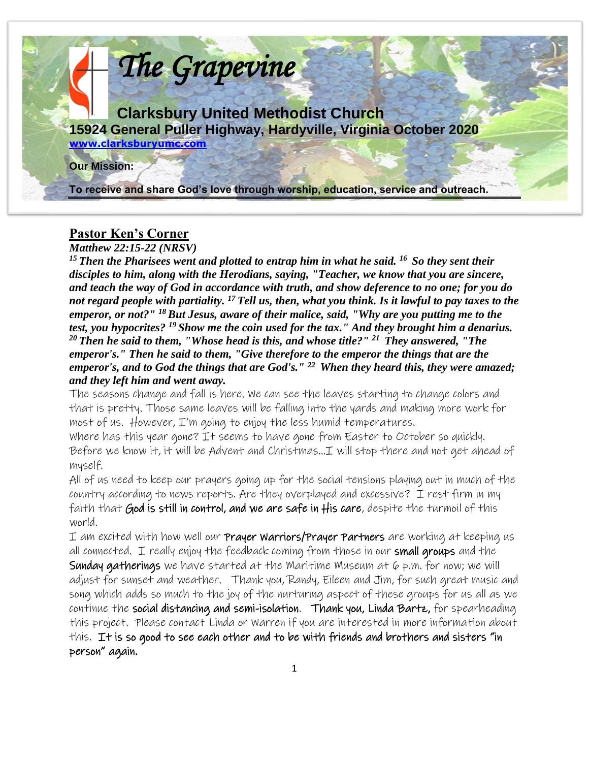

#### **Pastor Ken's Corner**

*Matthew 22:15-22 (NRSV)* 

*<sup>15</sup>Then the Pharisees went and plotted to entrap him in what he said. <sup>16</sup>So they sent their disciples to him, along with the Herodians, saying, "Teacher, we know that you are sincere, and teach the way of God in accordance with truth, and show deference to no one; for you do not regard people with partiality. <sup>17</sup>Tell us, then, what you think. Is it lawful to pay taxes to the emperor, or not?" <sup>18</sup>But Jesus, aware of their malice, said, "Why are you putting me to the test, you hypocrites? <sup>19</sup>Show me the coin used for the tax." And they brought him a denarius. <sup>20</sup>Then he said to them, "Whose head is this, and whose title?" <sup>21</sup>They answered, "The emperor's." Then he said to them, "Give therefore to the emperor the things that are the emperor's, and to God the things that are God's." <sup>22</sup>When they heard this, they were amazed; and they left him and went away.* 

The seasons change and fall is here. We can see the leaves starting to change colors and that is pretty. Those same leaves will be falling into the yards and making more work for most of us. However, I'm going to enjoy the less humid temperatures.

Where has this year gone? It seems to have gone from Easter to October so quickly. Before we know it, it will be Advent and Christmas…I will stop there and not get ahead of myself.

All of us need to keep our prayers going up for the social tensions playing out in much of the country according to news reports. Are they overplayed and excessive? I rest firm in my faith that God is still in control, and we are safe in His care, despite the turmoil of this world.

I am excited with how well our **Prayer Warriors/Prayer Partners** are working at keeping us all connected. I really enjoy the feedback coming from those in our small groups and the **Sunday gatherings** we have started at the Maritime Museum at  $\varphi$  p.m. for now; we will adjust for sunset and weather. Thank you, Randy, Eileen and Jim, for such great music and song which adds so much to the joy of the nurturing aspect of these groups for us all as we continue the social distancing and semi-isolation. Thank you, Linda Barte, for spearheading this project. Please contact Linda or Warren if you are interested in more information about this. It is so good to see each other and to be with friends and brothers and sisters "in person" again.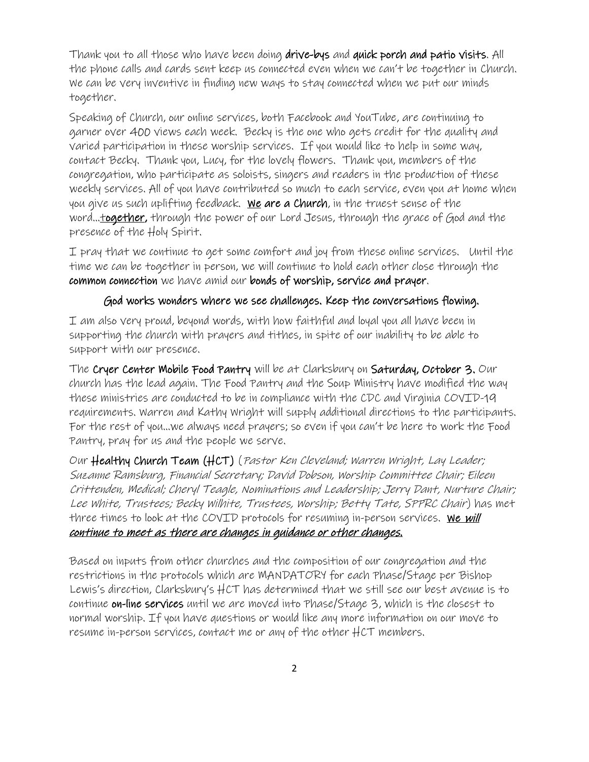Thank you to all those who have been doing drive-bys and quick porch and patio visits. All the phone calls and cards sent keep us connected even when we can't be together in Church. We can be very inventive in finding new ways to stay connected when we put our minds together.

Speaking of Church, our online services, both Facebook and YouTube, are continuing to garner over 400 views each week. Becky is the one who gets credit for the quality and varied participation in these worship services. If you would like to help in some way, contact Becky. Thank you, Lucy, for the lovely flowers. Thank you, members of the congregation, who participate as soloists, singers and readers in the production of these weekly services. All of you have contributed so much to each service, even you at home when you give us such uplifting feedback. We are a Church, in the truest sense of the word...together, through the power of our Lord Jesus, through the grace of God and the presence of the Holy Spirit.

I pray that we continue to get some comfort and joy from these online services. Until the time we can be together in person, we will continue to hold each other close through the common connection we have amid our bonds of worship, service and prayer.

#### God works wonders where we see challenges. Keep the conversations flowing.

I am also very proud, beyond words, with how faithful and loyal you all have been in supporting the church with prayers and tithes, in spite of our inability to be able to support with our presence.

The Cryer Center Mobile Food Pantry will be at Clarksbury on Saturday, October 3. Our church has the lead again. The Food Pantry and the Soup Ministry have modified the way these ministries are conducted to be in compliance with the CDC and Virginia COVID-19 requirements. Warren and Kathy Wright will supply additional directions to the participants. For the rest of you…we always need prayers; so even if you can't be here to work the Food Pantry, pray for us and the people we serve.

Our Healthy Church Team (HCT) (Pastor Ken Cleveland; Warren Wright, Lay Leader; Suzanne Ramsburg, Financial Secretary; David Dobson, Worship Committee Chair; Eileen Crittenden, Medical; Cheryl Teagle, Nominations and Leadership; Jerry Dant, Nurture Chair; Lee White, Trustees; Becky Wilhite, Trustees, Worship; Betty Tate, SPPRC Chair) has met three times to look at the COVID protocols for resuming in-person services. We will continue to meet as there are changes in guidance or other changes.

Based on inputs from other churches and the composition of our congregation and the restrictions in the protocols which are MANDATORY for each Phase/Stage per Bishop Lewis's direction, Clarksbury's HCT has determined that we still see our best avenue is to continue on-line services until we are moved into Phase/Stage 3, which is the closest to normal worship. If you have questions or would like any more information on our move to resume in-person services, contact me or any of the other HCT members.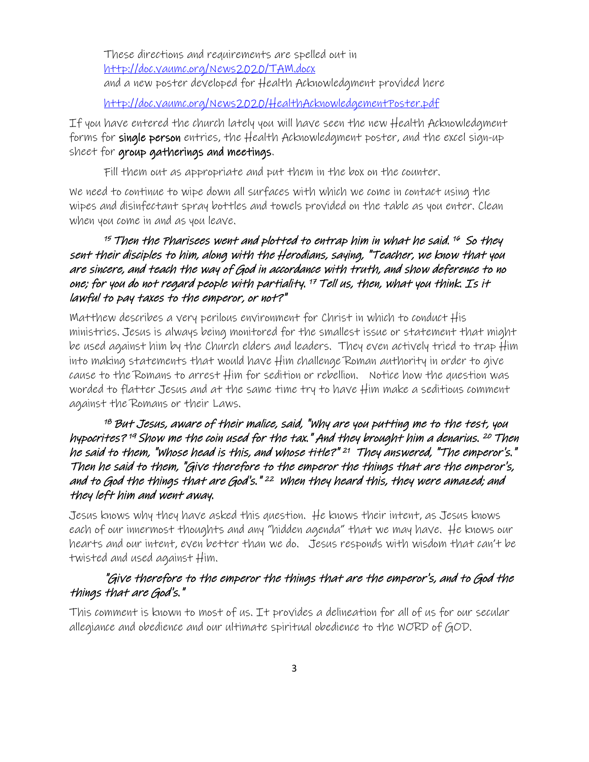These directions and requirements are spelled out in [http://doc.vaumc.org/News2020/TAM.docx](about:blank) and a new poster developed for Health Acknowledgment provided here

[http://doc.vaumc.org/News2020/HealthAcknowledgementPoster.pdf](about:blank)

If you have entered the church lately you will have seen the new Health Acknowledgment forms for single person entries, the Health Acknowledgment poster, and the excel sign-up sheet for group gatherings and meetings.

Fill them out as appropriate and put them in the box on the counter.

We need to continue to wipe down all surfaces with which we come in contact using the wipes and disinfectant spray bottles and towels provided on the table as you enter. Clean when you come in and as you leave.

#### $^{\rm 15}$  Then the Pharisees went and plotted to entrap him in what he said.  $^{\rm 16}$  So they sent their disciples to him, along with the Herodians, saying, "Teacher, we know that you are sincere, and teach the way of God in accordance with truth, and show deference to no one; for you do not regard people with partiality. <sup>17</sup> Tell us, then, what you think. Is it lawful to pay taxes to the emperor, or not?"

Matthew describes a very perilous environment for Christ in which to conduct His ministries. Jesus is always being monitored for the smallest issue or statement that might be used against him by the Church elders and leaders. They even actively tried to trap Him into making statements that would have Him challenge Roman authority in order to give cause to the Romans to arrest Him for sedition or rebellion. Notice how the question was worded to flatter Jesus and at the same time try to have Him make a seditious comment against the Romans or their Laws.

#### $18$  But Jesus, aware of their malice, said, "Why are you putting me to the test, you hypocrites? <sup>19</sup> Show me the coin used for the tax." And they brought him a denarius. <sup>20</sup> Then he said to them, "Whose head is this, and whose title?" 21 They answered, "The emperor's." Then he said to them, "Give therefore to the emperor the things that are the emperor's, and to God the things that are God's." <sup>22</sup> when they heard this, they were amazed; and they left him and went away.

Jesus knows why they have asked this question. He knows their intent, as Jesus knows each of our innermost thoughts and any "hidden agenda" that we may have. He knows our hearts and our intent, even better than we do. Jesus responds with wisdom that can't be twisted and used against Him.

#### "Give therefore to the emperor the things that are the emperor's, and to God the things that are God's."

This comment is known to most of us. It provides a delineation for all of us for our secular allegiance and obedience and our ultimate spiritual obedience to the WORD of GOD.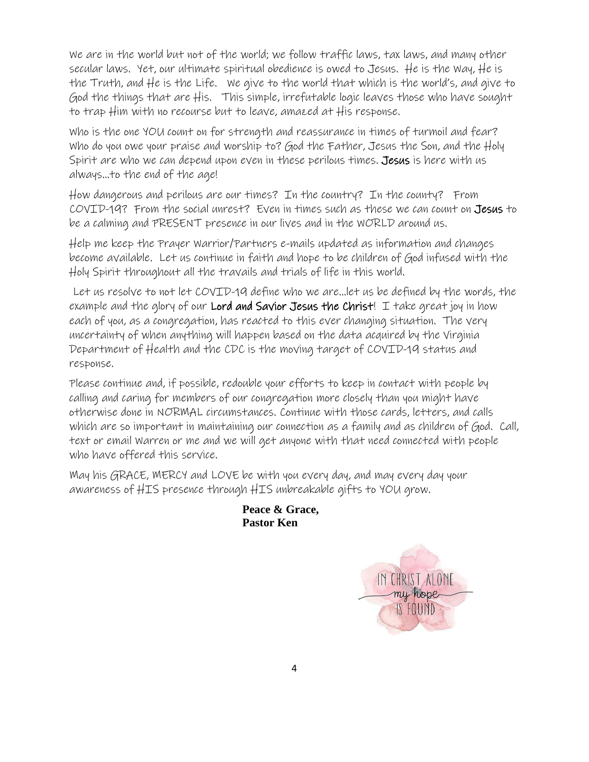We are in the world but not of the world; we follow traffic laws, tax laws, and many other secular laws. Yet, our ultimate spiritual obedience is owed to Jesus. He is the Way, He is the Truth, and He is the Life. We give to the world that which is the world's, and give to God the things that are His. This simple, irrefutable logic leaves those who have sought to trap Him with no recourse but to leave, amazed at His response.

Who is the one YOU count on for strength and reassurance in times of turmoil and fear? Who do you owe your praise and worship to? God the Father, Jesus the Son, and the Holy Spirit are who we can depend upon even in these perilous times. Jesus is here with us always…to the end of the age!

How dangerous and perilous are our times? In the country? In the county? From COVID-19? From the social unrest? Even in times such as these we can count on Jesus to be a calming and PRESENT presence in our lives and in the WORLD around us.

Help me keep the Prayer Warrior/Partners e-mails updated as information and changes become available. Let us continue in faith and hope to be children of God infused with the Holy Spirit throughout all the travails and trials of life in this world.

 Let us resolve to not let COVID-19 define who we are…let us be defined by the words, the example and the glory of our **Lord and Savior Jesus the Christ!** I take great joy in how each of you, as a congregation, has reacted to this ever changing situation. The very uncertainty of when anything will happen based on the data acquired by the Virginia Department of Health and the CDC is the moving target of COVID-19 status and response.

Please continue and, if possible, redouble your efforts to keep in contact with people by calling and caring for members of our congregation more closely than you might have otherwise done in NORMAL circumstances. Continue with those cards, letters, and calls which are so important in maintaining our connection as a family and as children of God. Call, text or email Warren or me and we will get anyone with that need connected with people who have offered this service.

May his GRACE, MERCY and LOVE be with you every day, and may every day your awareness of HIS presence through HIS unbreakable gifts to YOU grow.

> **Peace & Grace, Pastor Ken**

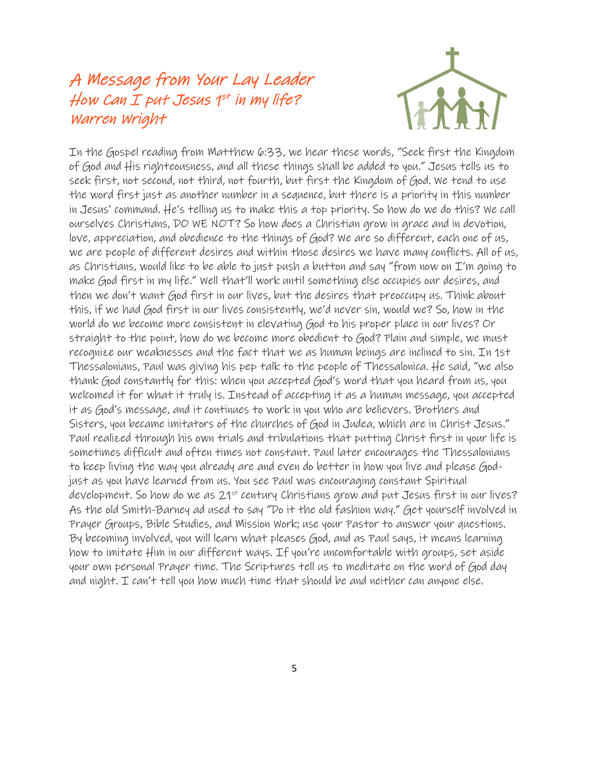### A Message from Your Lay Leader How Can I put Jesus  $1^{st}$  in my life? Warren Wright



In the Gospel reading from Matthew 6:33, we hear these words, "Seek first the Kingdom of God and His righteousness, and all these things shall be added to you." Jesus tells us to seek first, not second, not third, not fourth, but first the Kingdom of God. We tend to use the word first just as another number in a sequence, but there is a priority in this number in Jesus' command. He's telling us to make this a top priority. So how do we do this? We call ourselves Christians, DO WE NOT? So how does a Christian grow in grace and in devotion, love, appreciation, and obedience to the things of God? We are so different, each one of us, we are people of different desires and within those desires we have many conflicts. All of us, as Christians, would like to be able to just push a button and say "from now on I'm going to make God first in my life." Well that'll work until something else occupies our desires, and then we don't want God first in our lives, but the desires that preoccupy us. Think about this, if we had God first in our lives consistently, we'd never sin, would we? So, how in the world do we become more consistent in elevating God to his proper place in our lives? Or straight to the point, how do we become more obedient to God? Plain and simple, we must recognize our weaknesses and the fact that we as human beings are inclined to sin. In 1st Thessalonians, Paul was giving his pep talk to the people of Thessalonica. He said, "we also thank God constantly for this: when you accepted God's word that you heard from us, you welcomed it for what it truly is. Instead of accepting it as a human message, you accepted it as God's message, and it continues to work in you who are believers. Brothers and Sisters, you became imitators of the churches of God in Judea, which are in Christ Jesus." Paul realized through his own trials and tribulations that putting Christ first in your life is sometimes difficult and often times not constant. Paul later encourages the Thessalonians to keep living the way you already are and even do better in how you live and please Godjust as you have learned from us. You see Paul was encouraging constant Spiritual development. So how do we as 21<sup>st</sup> century Christians grow and put Jesus first in our lives? As the old Smith-Barney ad used to say "Do it the old fashion way." Get yourself involved in Prayer Groups, Bible Studies, and Mission Work; use your Pastor to answer your questions. By becoming involved, you will learn what pleases God, and as Paul says, it means learning how to imitate Him in our different ways. If you're uncomfortable with groups, set aside your own personal Prayer time. The Scriptures tell us to meditate on the word of God day and night. I can't tell you how much time that should be and neither can anyone else.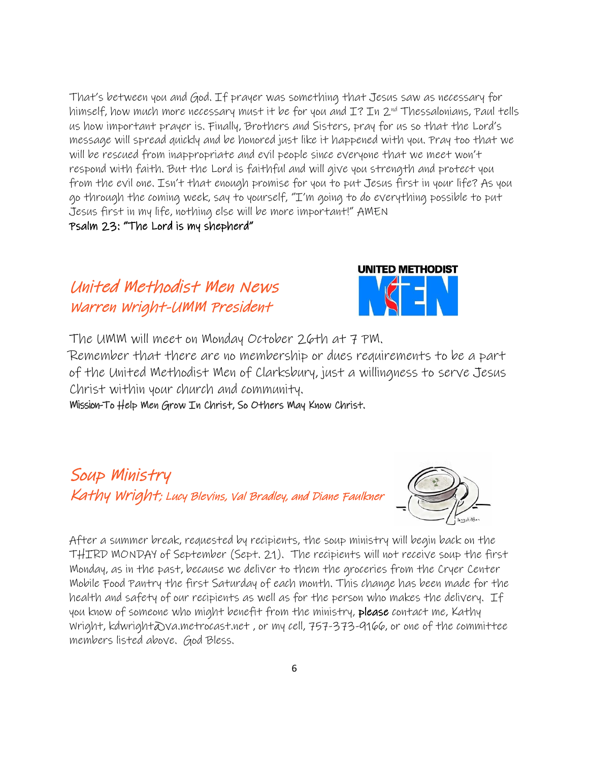That's between you and God. If prayer was something that Jesus saw as necessary for himself, how much more necessary must it be for you and  $I$ ? In  $2^{nd}$  Thessalonians, Paul tells us how important prayer is. Finally, Brothers and Sisters, pray for us so that the Lord's message will spread quickly and be honored just like it happened with you. Pray too that we will be rescued from inappropriate and evil people since everyone that we meet won't respond with faith. But the Lord is faithful and will give you strength and protect you from the evil one. Isn't that enough promise for you to put Jesus first in your life? As you go through the coming week, say to yourself, "I'm going to do everything possible to put Jesus first in my life, nothing else will be more important!" AMEN

Psalm 23: "The Lord is my shepherd"

# United Methodist Men News Warren Wright-UMM President



The UMM will meet on Monday October 26th at 7 PM.

Remember that there are no membership or dues requirements to be a part of the United Methodist Men of Clarksbury, just a willingness to serve Jesus Christ within your church and community.

Mission-To Help Men Grow In Christ, So Others May Know Christ.

# Soup Ministry Kathy Wright; Lucy Blevins, Val Bradley, and Diane Faulkner



After a summer break, requested by recipients, the soup ministry will begin back on the THIRD MONDAY of September (Sept. 21). The recipients will not receive soup the first Monday, as in the past, because we deliver to them the groceries from the Cryer Center Mobile Food Pantry the first Saturday of each month. This change has been made for the health and safety of our recipients as well as for the person who makes the delivery. If you know of someone who might benefit from the ministry, please contact me, Kathy Wright, kdwright@va.metrocast.net , or my cell, 757-373-9166, or one of the committee members listed above. God Bless.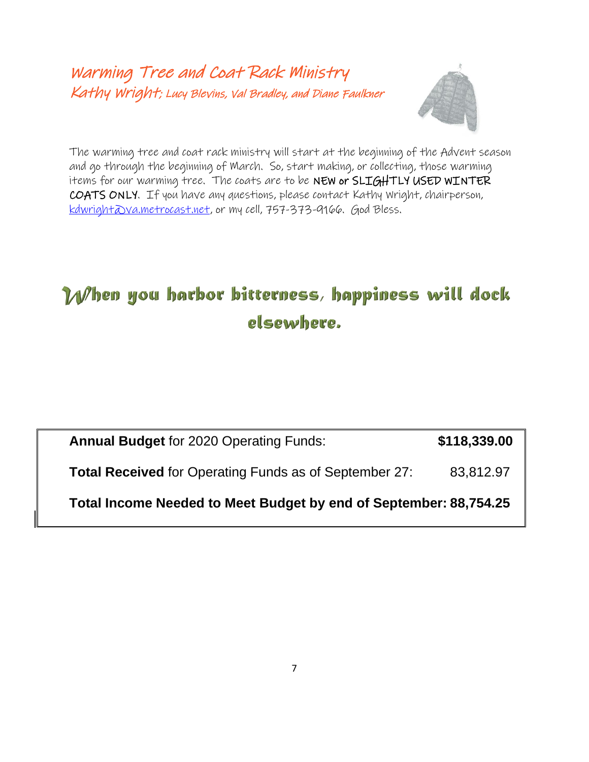Warming Tree and Coat Rack Ministry Kathy Wright; Lucy Blevins, Val Bradley, and Diane Faulkner



The warming tree and coat rack ministry will start at the beginning of the Advent season and go through the beginning of March. So, start making, or collecting, those warming items for our warming tree. The coats are to be NEW or SLIGHTLY USED WINTER COATS ONLY. If you have any questions, please contact Kathy Wright, chairperson, [kdwright@va.metrocast.net,](mailto:kdwright@va.metrocast.net) or my cell, 757-373-9166. God Bless.

# When you harbor bitterness, happiness will dock elsewhere.

| <b>Annual Budget for 2020 Operating Funds:</b>                | \$118,339.00 |
|---------------------------------------------------------------|--------------|
| <b>Total Received</b> for Operating Funds as of September 27: | 83,812.97    |

**Total Income Needed to Meet Budget by end of September: 88,754.25**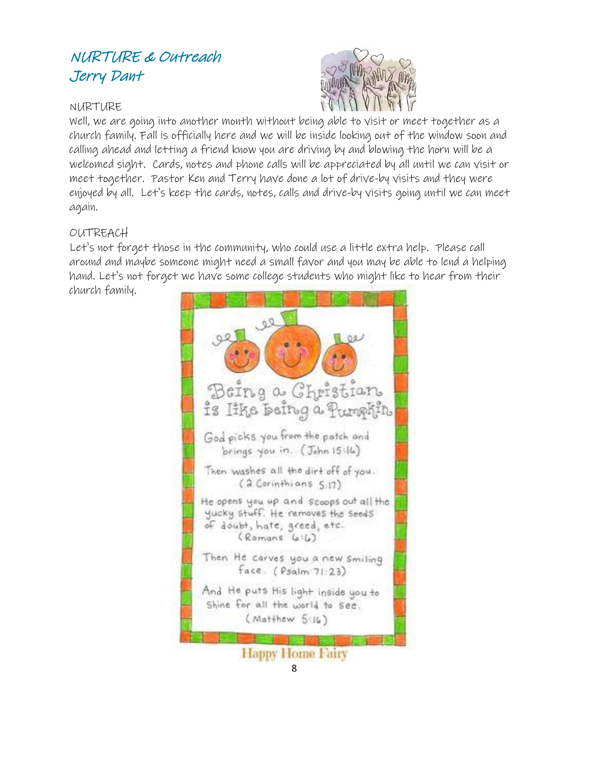### NURTURE & Outreach Jerry Dant

#### NURTURE



Well, we are going into another month without being able to visit or meet together as a church family. Fall is officially here and we will be inside looking out of the window soon and calling ahead and letting a friend know you are driving by and blowing the horn will be a welcomed sight. Cards, notes and phone calls will be appreciated by all until we can visit or meet together. Pastor Ken and Terry have done a lot of drive-by visits and they were enjoyed by all. Let's keep the cards, notes, calls and drive-by visits going until we can meet again.

#### OUTREACH

Let's not forget those in the community, who could use a little extra help. Please call around and maybe someone might need a small favor and you may be able to lend a helping hand. Let's not forget we have some college students who might like to hear from their church family.



8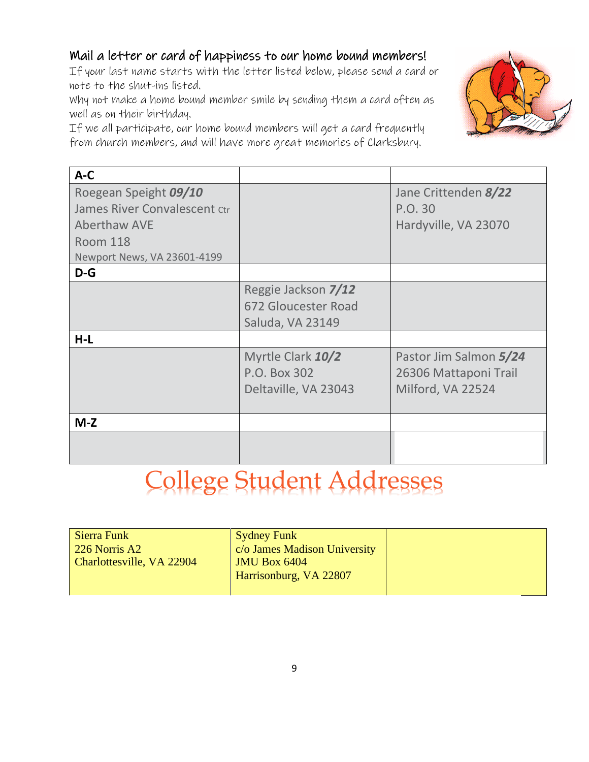#### Mail a letter or card of happiness to our home bound members!

If your last name starts with the letter listed below, please send a card or note to the shut-ins listed.

Why not make a home bound member smile by sending them a card often as well as on their birthday.

If we all participate, our home bound members will get a card frequently from church members, and will have more great memories of Clarksbury.



| $A-C$                                                                                                                          |                                                                |                                                                      |
|--------------------------------------------------------------------------------------------------------------------------------|----------------------------------------------------------------|----------------------------------------------------------------------|
| Roegean Speight 09/10<br>James River Convalescent Ctr<br><b>Aberthaw AVE</b><br><b>Room 118</b><br>Newport News, VA 23601-4199 |                                                                | Jane Crittenden 8/22<br>P.O. 30<br>Hardyville, VA 23070              |
| $D-G$                                                                                                                          |                                                                |                                                                      |
|                                                                                                                                | Reggie Jackson 7/12<br>672 Gloucester Road<br>Saluda, VA 23149 |                                                                      |
| $H-L$                                                                                                                          |                                                                |                                                                      |
|                                                                                                                                | Myrtle Clark 10/2<br>P.O. Box 302<br>Deltaville, VA 23043      | Pastor Jim Salmon 5/24<br>26306 Mattaponi Trail<br>Milford, VA 22524 |
| $M-Z$                                                                                                                          |                                                                |                                                                      |
|                                                                                                                                |                                                                |                                                                      |

# College Student Addresses

| Sierra Funk<br>226 Norris A2 | <b>Sydney Funk</b><br>c/o James Madison University |  |
|------------------------------|----------------------------------------------------|--|
| Charlottesville, VA 22904    | <b>JMU Box 6404</b><br>Harrisonburg, VA 22807      |  |
|                              |                                                    |  |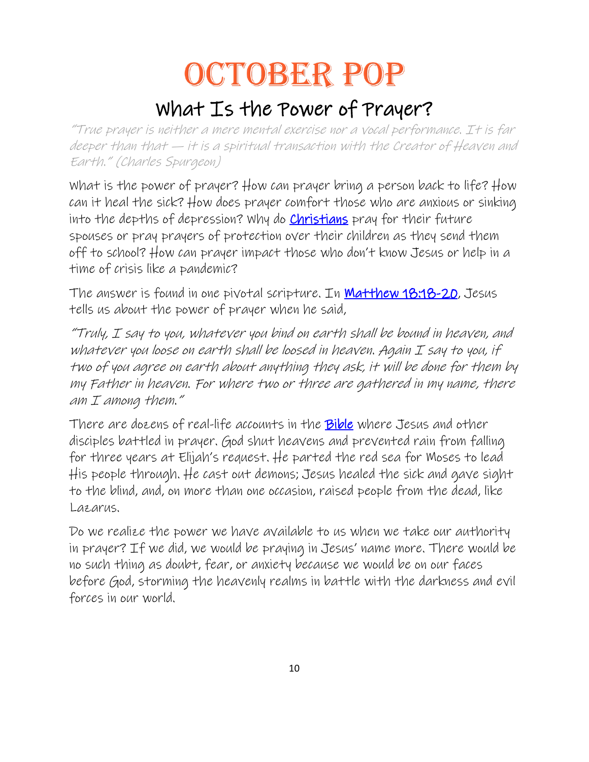# OCTOBER POP

# What Is the Power of Prayer?

"True prayer is neither a mere mental exercise nor a vocal performance. It is far deeper than that — it is a spiritual transaction with the Creator of Heaven and Earth." (Charles Spurgeon)

What is the power of prayer? How can prayer bring a person back to life? How can it heal the sick? How does prayer comfort those who are anxious or sinking into the depths of depression? Why do **[Christians](https://www.christianity.com/)** pray for their future spouses or pray prayers of protection over their children as they send them off to school? How can prayer impact those who don't know Jesus or help in a time of crisis like a pandemic?

The answer is found in one pivotal scripture. In **Matthew 18:18-20**, Jesus tells us about the power of prayer when he said,

"Truly, I say to you, whatever you bind on earth shall be bound in heaven, and whatever you loose on earth shall be loosed in heaven. Again I say to you, if two of you agree on earth about anything they ask, it will be done for them by my Father in heaven. For where two or three are gathered in my name, there am I among them."

There are dozens of real-life accounts in the [Bible](https://www.christianity.com/bible/bible.php) where Jesus and other disciples battled in prayer. God shut heavens and prevented rain from falling for three years at Elijah's request. He parted the red sea for Moses to lead His people through. He cast out demons; Jesus healed the sick and gave sight to the blind, and, on more than one occasion, raised people from the dead, like Lazarus.

Do we realize the power we have available to us when we take our authority in prayer? If we did, we would be praying in Jesus' name more. There would be no such thing as doubt, fear, or anxiety because we would be on our faces before God, storming the heavenly realms in battle with the darkness and evil forces in our world.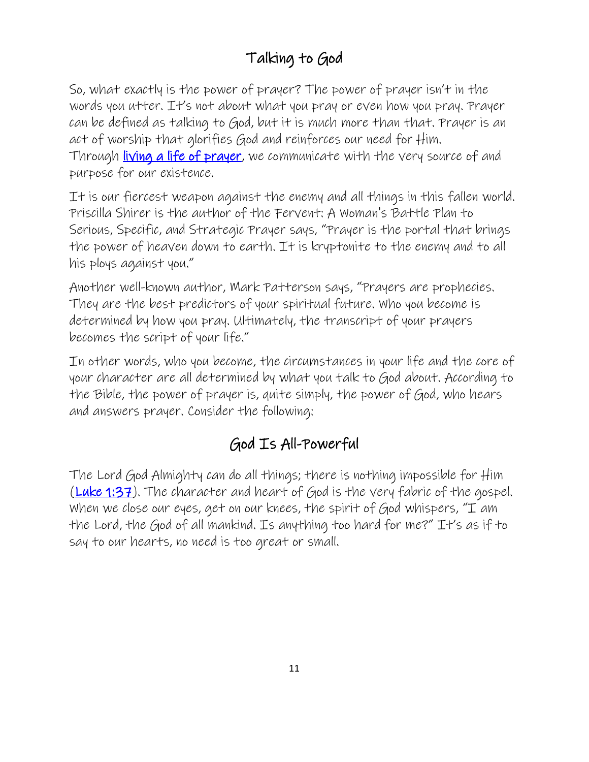# Talking to God

So, what exactly is the power of prayer? The power of prayer isn't in the words you utter. It's not about what you pray or even how you pray. Prayer can be defined as talking to God, but it is much more than that. Prayer is an act of worship that glorifies God and reinforces our need for Him. Through [living a life of prayer,](https://www.christianity.com/wiki/prayer/how-does-prayer-change-us.html) we communicate with the very source of and purpose for our existence.

It is our fiercest weapon against the enemy and all things in this fallen world. Priscilla Shirer is the author of the Fervent: A Woman's Battle Plan to Serious, Specific, and Strategic Prayer says, "Prayer is the portal that brings the power of heaven down to earth. It is kryptonite to the enemy and to all his ploys against you."

Another well-known author, Mark Patterson says, "Prayers are prophecies. They are the best predictors of your spiritual future. Who you become is determined by how you pray. Ultimately, the transcript of your prayers becomes the script of your life."

In other words, who you become, the circumstances in your life and the core of your character are all determined by what you talk to God about. According to the Bible, the power of prayer is, quite simply, the power of God, who hears and answers prayer. Consider the following:

# God Is All-Powerful

The Lord God Almighty can do all things; there is nothing impossible for Him [\(Luke 1:37\)](http://www.christianity.com/bible/bible.php?ver=niv&q=luke+1:37). The character and heart of God is the very fabric of the gospel. When we close our eyes, get on our knees, the spirit of God whispers, " $I$  am the Lord, the God of all mankind. Is anything too hard for me?" It's as if to say to our hearts, no need is too great or small.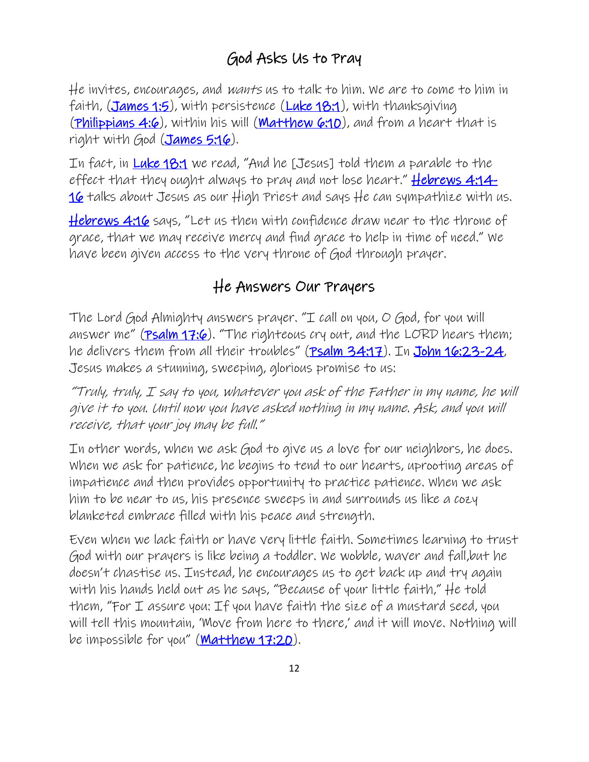# God Asks Us to Pray

He invites, encourages, and wants us to talk to him. We are to come to him in faith, [\(James 1:5\)](http://www.christianity.com/bible/bible.php?ver=niv&q=james+1:5), with persistence [\(Luke 18:1\)](http://www.christianity.com/bible/bible.php?ver=niv&q=luke+18:1), with thanksgiving [\(Philippians 4:6\)](http://www.christianity.com/bible/bible.php?ver=niv&q=philippians+4:6), within his will [\(Matthew 6:10\)](http://www.christianity.com/bible/bible.php?ver=niv&q=matthew+6:10), and from a heart that is right with God [\(James 5:16\)](http://www.christianity.com/bible/bible.php?ver=niv&q=james+5:16).

In fact, in [Luke 18:1](http://www.christianity.com/bible/bible.php?ver=niv&q=luke+18:1) we read, "And he [Jesus] told them a parable to the effect that they ought always to pray and not lose heart."  $Hebrews$  4:14-[16](http://www.christianity.com/bible/bible.php?ver=niv&q=hebrews+4%3a14-16) talks about Jesus as our High Priest and says He can sympathize with us.

[Hebrews 4:16](http://www.christianity.com/bible/bible.php?ver=niv&q=hebrews+4:16) says, "Let us then with confidence draw near to the throne of grace, that we may receive mercy and find grace to help in time of need." We have been given access to the very throne of God through prayer.

# He Answers Our Prayers

The Lord God Almighty answers prayer. "I call on you, O God, for you will answer me" ( $\frac{P}{P}$ salm  $17:6$ ). "The righteous cry out, and the LORD hears them; he delivers them from all their troubles" ([Psalm 34:17\)](http://www.christianity.com/bible/bible.php?ver=niv&q=psalms+34:17). In [John 16:23-24,](http://www.christianity.com/bible/bible.php?ver=niv&q=john+16%3a23-24) Jesus makes a stunning, sweeping, glorious promise to us:

"Truly, truly,  $I$  say to you, whatever you ask of the Father in my name, he will give it to you. Until now you have asked nothing in my name. Ask, and you will receive, that your joy may be full."

In other words, when we ask God to give us a love for our neighbors, he does. When we ask for patience, he begins to tend to our hearts, uprooting areas of impatience and then provides opportunity to practice patience. When we ask him to be near to us, his presence sweeps in and surrounds us like a cozy blanketed embrace filled with his peace and strength.

Even when we lack faith or have very little faith. Sometimes learning to trust God with our prayers is like being a toddler. We wobble, waver and fall,but he doesn't chastise us. Instead, he encourages us to get back up and try again with his hands held out as he says, "Because of your little faith," He told them, "For I assure you: If you have faith the size of a mustard seed, you will tell this mountain, 'Move from here to there,' and it will move. Nothing will be impossible for you" ([Matthew 17:20\)](http://www.christianity.com/bible/bible.php?ver=niv&q=matthew+17:20).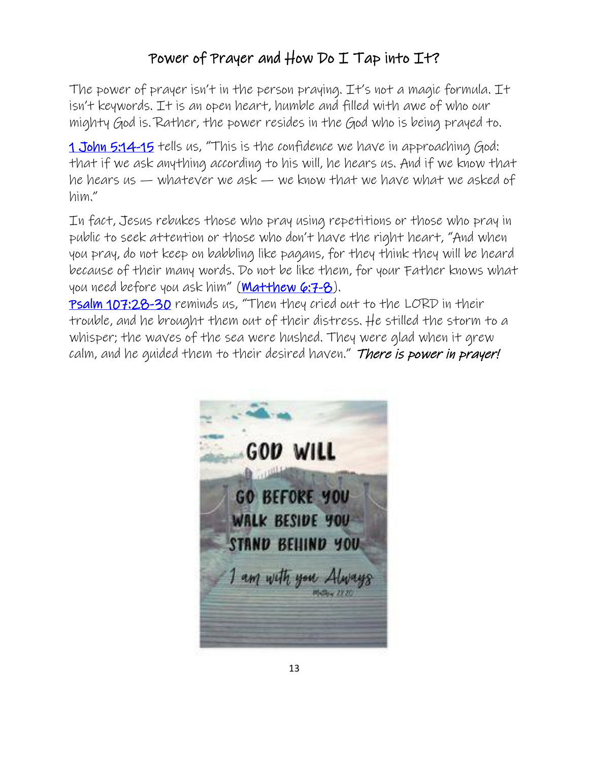## Power of Prayer and How Do I Tap into It?

The power of prayer isn't in the person praying. It's not a magic formula. It isn't keywords. It is an open heart, humble and filled with awe of who our mighty God is. Rather, the power resides in the God who is being prayed to.

[1 John 5:14-15](http://www.christianity.com/bible/bible.php?ver=niv&q=1+john+5%3a14-15) tells us, "This is the confidence we have in approaching God: that if we ask anything according to his will, he hears us. And if we know that he hears us — whatever we ask — we know that we have what we asked of him."

In fact, Jesus rebukes those who pray using repetitions or those who pray in public to seek attention or those who don't have the right heart, "And when you pray, do not keep on babbling like pagans, for they think they will be heard because of their many words. Do not be like them, for your Father knows what you need before you ask him" ([Matthew 6:7-8\)](http://www.christianity.com/bible/bible.php?ver=niv&q=matthew+6%3a7-8).

[Psalm 107:28-30](http://www.christianity.com/bible/bible.php?ver=niv&q=psalms+107%3a28-30) reminds us, "Then they cried out to the LORD in their trouble, and he brought them out of their distress. He stilled the storm to a whisper; the waves of the sea were hushed. They were glad when it grew calm, and he quided them to their desired haven." There is power in prayer!